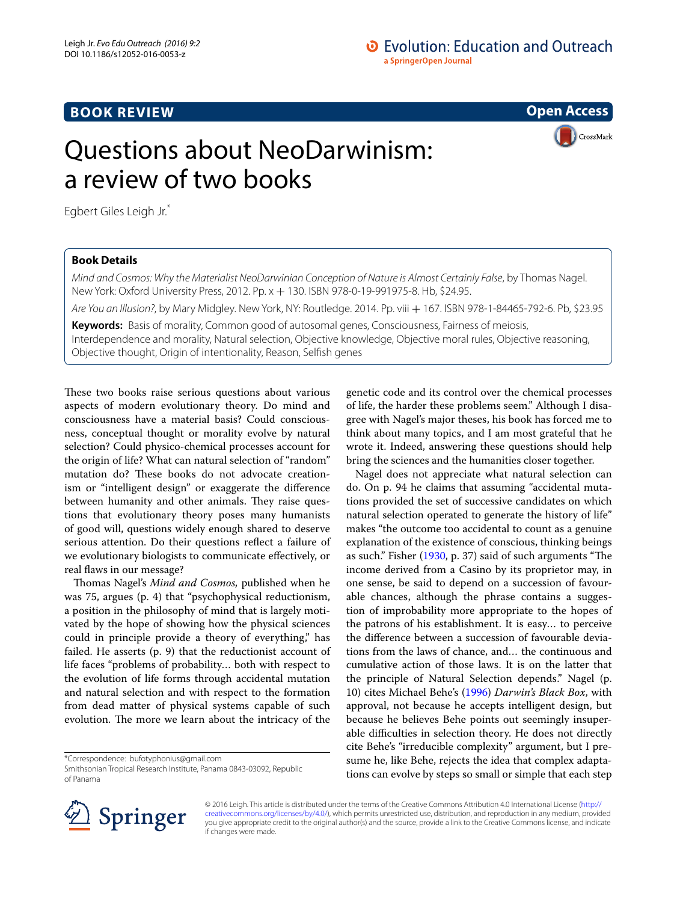## **BOOK REVIEW**

**Open Access**

# Questions about NeoDarwinism: a review of two books

CrossMark

Egbert Giles Leigh Jr.\*

### **Book Details**

*Mind and Cosmos: Why the Materialist NeoDarwinian Conception of Nature is Almost Certainly False*, by Thomas Nagel. New York: Oxford University Press, 2012. Pp. x + 130. ISBN 978-0-19-991975-8. Hb, \$24.95.

*Are You an Illusion?*, by Mary Midgley. New York, NY: Routledge. 2014. Pp. viii + 167. ISBN 978-1-84465-792-6. Pb, \$23.95

**Keywords:** Basis of morality, Common good of autosomal genes, Consciousness, Fairness of meiosis, Interdependence and morality, Natural selection, Objective knowledge, Objective moral rules, Objective reasoning, Objective thought, Origin of intentionality, Reason, Selfish genes

These two books raise serious questions about various aspects of modern evolutionary theory. Do mind and consciousness have a material basis? Could consciousness, conceptual thought or morality evolve by natural selection? Could physico-chemical processes account for the origin of life? What can natural selection of "random" mutation do? These books do not advocate creationism or "intelligent design" or exaggerate the difference between humanity and other animals. They raise questions that evolutionary theory poses many humanists of good will, questions widely enough shared to deserve serious attention. Do their questions reflect a failure of we evolutionary biologists to communicate effectively, or real flaws in our message?

Thomas Nagel's *Mind and Cosmos,* published when he was 75, argues (p. 4) that "psychophysical reductionism, a position in the philosophy of mind that is largely motivated by the hope of showing how the physical sciences could in principle provide a theory of everything," has failed. He asserts (p. 9) that the reductionist account of life faces "problems of probability… both with respect to the evolution of life forms through accidental mutation and natural selection and with respect to the formation from dead matter of physical systems capable of such evolution. The more we learn about the intricacy of the

\*Correspondence: bufotyphonius@gmail.com

genetic code and its control over the chemical processes of life, the harder these problems seem." Although I disagree with Nagel's major theses, his book has forced me to think about many topics, and I am most grateful that he wrote it. Indeed, answering these questions should help bring the sciences and the humanities closer together.

Nagel does not appreciate what natural selection can do. On p. 94 he claims that assuming "accidental mutations provided the set of successive candidates on which natural selection operated to generate the history of life" makes "the outcome too accidental to count as a genuine explanation of the existence of conscious, thinking beings as such." Fisher [\(1930](#page-6-0), p. 37) said of such arguments "The income derived from a Casino by its proprietor may, in one sense, be said to depend on a succession of favourable chances, although the phrase contains a suggestion of improbability more appropriate to the hopes of the patrons of his establishment. It is easy… to perceive the difference between a succession of favourable deviations from the laws of chance, and… the continuous and cumulative action of those laws. It is on the latter that the principle of Natural Selection depends." Nagel (p. 10) cites Michael Behe's ([1996](#page-5-0)) *Darwin's Black Box*, with approval, not because he accepts intelligent design, but because he believes Behe points out seemingly insuperable difficulties in selection theory. He does not directly cite Behe's "irreducible complexity" argument, but I presume he, like Behe, rejects the idea that complex adaptations can evolve by steps so small or simple that each step



© 2016 Leigh. This article is distributed under the terms of the Creative Commons Attribution 4.0 International License [\(http://](http://creativecommons.org/licenses/by/4.0/) [creativecommons.org/licenses/by/4.0/](http://creativecommons.org/licenses/by/4.0/)), which permits unrestricted use, distribution, and reproduction in any medium, provided you give appropriate credit to the original author(s) and the source, provide a link to the Creative Commons license, and indicate if changes were made.

Smithsonian Tropical Research Institute, Panama 0843-03092, Republic of Panama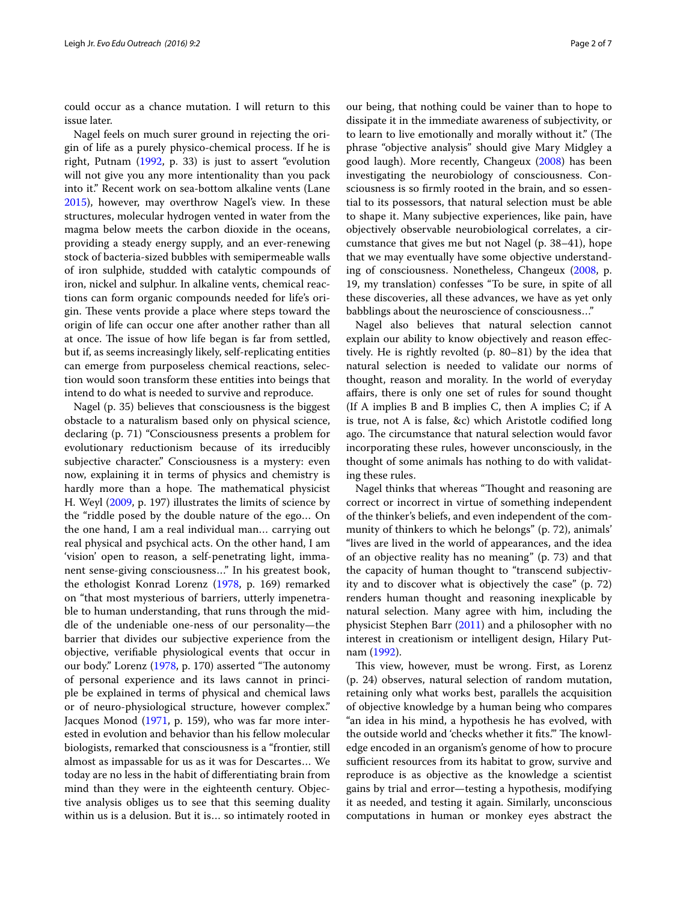could occur as a chance mutation. I will return to this issue later.

Nagel feels on much surer ground in rejecting the origin of life as a purely physico-chemical process. If he is right, Putnam ([1992,](#page-6-1) p. 33) is just to assert "evolution will not give you any more intentionality than you pack into it." Recent work on sea-bottom alkaline vents (Lane [2015](#page-6-2)), however, may overthrow Nagel's view. In these structures, molecular hydrogen vented in water from the magma below meets the carbon dioxide in the oceans, providing a steady energy supply, and an ever-renewing stock of bacteria-sized bubbles with semipermeable walls of iron sulphide, studded with catalytic compounds of iron, nickel and sulphur. In alkaline vents, chemical reactions can form organic compounds needed for life's origin. These vents provide a place where steps toward the origin of life can occur one after another rather than all at once. The issue of how life began is far from settled, but if, as seems increasingly likely, self-replicating entities can emerge from purposeless chemical reactions, selection would soon transform these entities into beings that intend to do what is needed to survive and reproduce.

Nagel (p. 35) believes that consciousness is the biggest obstacle to a naturalism based only on physical science, declaring (p. 71) "Consciousness presents a problem for evolutionary reductionism because of its irreducibly subjective character." Consciousness is a mystery: even now, explaining it in terms of physics and chemistry is hardly more than a hope. The mathematical physicist H. Weyl [\(2009](#page-6-3), p. 197) illustrates the limits of science by the "riddle posed by the double nature of the ego… On the one hand, I am a real individual man… carrying out real physical and psychical acts. On the other hand, I am 'vision' open to reason, a self-penetrating light, immanent sense-giving consciousness…" In his greatest book, the ethologist Konrad Lorenz ([1978](#page-6-4), p. 169) remarked on "that most mysterious of barriers, utterly impenetrable to human understanding, that runs through the middle of the undeniable one-ness of our personality—the barrier that divides our subjective experience from the objective, verifiable physiological events that occur in our body." Lorenz [\(1978,](#page-6-4) p. 170) asserted "The autonomy of personal experience and its laws cannot in principle be explained in terms of physical and chemical laws or of neuro-physiological structure, however complex." Jacques Monod ([1971,](#page-6-5) p. 159), who was far more interested in evolution and behavior than his fellow molecular biologists, remarked that consciousness is a "frontier, still almost as impassable for us as it was for Descartes… We today are no less in the habit of differentiating brain from mind than they were in the eighteenth century. Objective analysis obliges us to see that this seeming duality within us is a delusion. But it is… so intimately rooted in

our being, that nothing could be vainer than to hope to dissipate it in the immediate awareness of subjectivity, or to learn to live emotionally and morally without it." (The phrase "objective analysis" should give Mary Midgley a good laugh). More recently, Changeux [\(2008\)](#page-5-1) has been investigating the neurobiology of consciousness. Consciousness is so firmly rooted in the brain, and so essential to its possessors, that natural selection must be able to shape it. Many subjective experiences, like pain, have objectively observable neurobiological correlates, a circumstance that gives me but not Nagel (p. 38–41), hope that we may eventually have some objective understanding of consciousness. Nonetheless, Changeux ([2008,](#page-5-1) p. 19, my translation) confesses "To be sure, in spite of all these discoveries, all these advances, we have as yet only babblings about the neuroscience of consciousness…"

Nagel also believes that natural selection cannot explain our ability to know objectively and reason effectively. He is rightly revolted (p. 80–81) by the idea that natural selection is needed to validate our norms of thought, reason and morality. In the world of everyday affairs, there is only one set of rules for sound thought (If A implies B and B implies C, then A implies C; if A is true, not A is false, &c) which Aristotle codified long ago. The circumstance that natural selection would favor incorporating these rules, however unconsciously, in the thought of some animals has nothing to do with validating these rules.

Nagel thinks that whereas "Thought and reasoning are correct or incorrect in virtue of something independent of the thinker's beliefs, and even independent of the community of thinkers to which he belongs" (p. 72), animals' "lives are lived in the world of appearances, and the idea of an objective reality has no meaning" (p. 73) and that the capacity of human thought to "transcend subjectivity and to discover what is objectively the case" (p. 72) renders human thought and reasoning inexplicable by natural selection. Many agree with him, including the physicist Stephen Barr ([2011](#page-5-2)) and a philosopher with no interest in creationism or intelligent design, Hilary Putnam [\(1992](#page-6-1)).

This view, however, must be wrong. First, as Lorenz (p. 24) observes, natural selection of random mutation, retaining only what works best, parallels the acquisition of objective knowledge by a human being who compares "an idea in his mind, a hypothesis he has evolved, with the outside world and 'checks whether it fits.'" The knowledge encoded in an organism's genome of how to procure sufficient resources from its habitat to grow, survive and reproduce is as objective as the knowledge a scientist gains by trial and error—testing a hypothesis, modifying it as needed, and testing it again. Similarly, unconscious computations in human or monkey eyes abstract the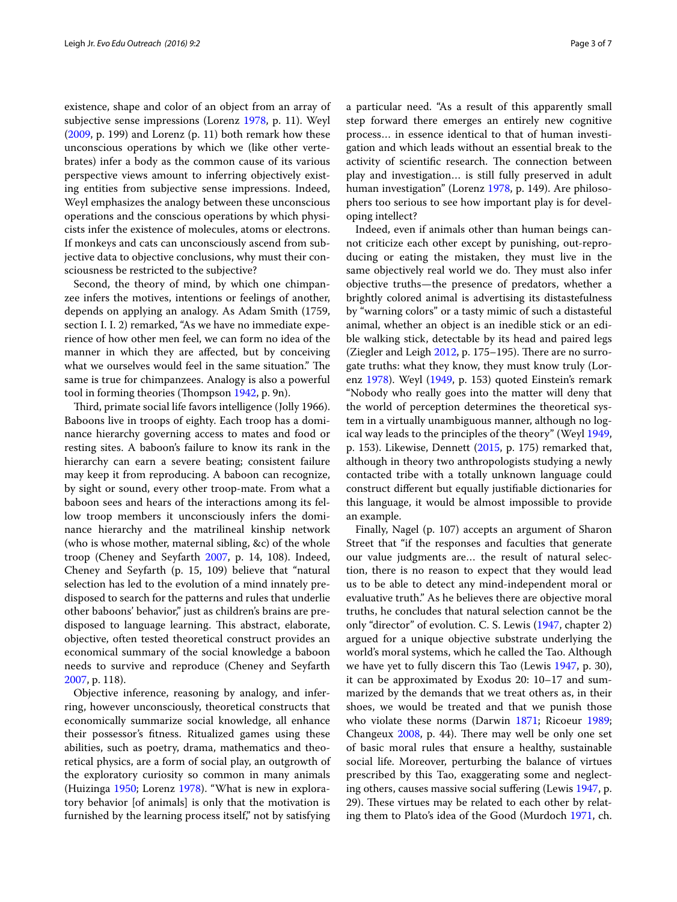existence, shape and color of an object from an array of subjective sense impressions (Lorenz [1978](#page-6-4), p. 11). Weyl ([2009,](#page-6-3) p. 199) and Lorenz (p. 11) both remark how these unconscious operations by which we (like other vertebrates) infer a body as the common cause of its various perspective views amount to inferring objectively existing entities from subjective sense impressions. Indeed, Weyl emphasizes the analogy between these unconscious operations and the conscious operations by which physicists infer the existence of molecules, atoms or electrons. If monkeys and cats can unconsciously ascend from subjective data to objective conclusions, why must their consciousness be restricted to the subjective?

Second, the theory of mind, by which one chimpanzee infers the motives, intentions or feelings of another, depends on applying an analogy. As Adam Smith (1759, section I. I. 2) remarked, "As we have no immediate experience of how other men feel, we can form no idea of the manner in which they are affected, but by conceiving what we ourselves would feel in the same situation." The same is true for chimpanzees. Analogy is also a powerful tool in forming theories (Thompson [1942,](#page-6-6) p. 9n).

Third, primate social life favors intelligence (Jolly 1966). Baboons live in troops of eighty. Each troop has a dominance hierarchy governing access to mates and food or resting sites. A baboon's failure to know its rank in the hierarchy can earn a severe beating; consistent failure may keep it from reproducing. A baboon can recognize, by sight or sound, every other troop-mate. From what a baboon sees and hears of the interactions among its fellow troop members it unconsciously infers the dominance hierarchy and the matrilineal kinship network (who is whose mother, maternal sibling, &c) of the whole troop (Cheney and Seyfarth [2007](#page-5-3), p. 14, 108). Indeed, Cheney and Seyfarth (p. 15, 109) believe that "natural selection has led to the evolution of a mind innately predisposed to search for the patterns and rules that underlie other baboons' behavior," just as children's brains are predisposed to language learning. This abstract, elaborate, objective, often tested theoretical construct provides an economical summary of the social knowledge a baboon needs to survive and reproduce (Cheney and Seyfarth [2007](#page-5-3), p. 118).

Objective inference, reasoning by analogy, and inferring, however unconsciously, theoretical constructs that economically summarize social knowledge, all enhance their possessor's fitness. Ritualized games using these abilities, such as poetry, drama, mathematics and theoretical physics, are a form of social play, an outgrowth of the exploratory curiosity so common in many animals (Huizinga [1950;](#page-6-7) Lorenz [1978\)](#page-6-4). "What is new in exploratory behavior [of animals] is only that the motivation is furnished by the learning process itself," not by satisfying

a particular need. "As a result of this apparently small step forward there emerges an entirely new cognitive process… in essence identical to that of human investigation and which leads without an essential break to the activity of scientific research. The connection between play and investigation… is still fully preserved in adult human investigation" (Lorenz [1978,](#page-6-4) p. 149). Are philosophers too serious to see how important play is for developing intellect?

Indeed, even if animals other than human beings cannot criticize each other except by punishing, out-reproducing or eating the mistaken, they must live in the same objectively real world we do. They must also infer objective truths—the presence of predators, whether a brightly colored animal is advertising its distastefulness by "warning colors" or a tasty mimic of such a distasteful animal, whether an object is an inedible stick or an edible walking stick, detectable by its head and paired legs (Ziegler and Leigh [2012,](#page-6-8) p. 175–195). There are no surrogate truths: what they know, they must know truly (Lorenz [1978](#page-6-4)). Weyl [\(1949](#page-6-9), p. 153) quoted Einstein's remark "Nobody who really goes into the matter will deny that the world of perception determines the theoretical system in a virtually unambiguous manner, although no logical way leads to the principles of the theory" (Weyl [1949](#page-6-9), p. 153). Likewise, Dennett [\(2015,](#page-6-10) p. 175) remarked that, although in theory two anthropologists studying a newly contacted tribe with a totally unknown language could construct different but equally justifiable dictionaries for this language, it would be almost impossible to provide an example.

Finally, Nagel (p. 107) accepts an argument of Sharon Street that "if the responses and faculties that generate our value judgments are… the result of natural selection, there is no reason to expect that they would lead us to be able to detect any mind-independent moral or evaluative truth." As he believes there are objective moral truths, he concludes that natural selection cannot be the only "director" of evolution. C. S. Lewis ([1947](#page-6-11), chapter 2) argued for a unique objective substrate underlying the world's moral systems, which he called the Tao. Although we have yet to fully discern this Tao (Lewis [1947,](#page-6-11) p. 30), it can be approximated by Exodus 20: 10–17 and summarized by the demands that we treat others as, in their shoes, we would be treated and that we punish those who violate these norms (Darwin [1871](#page-5-4); Ricoeur [1989](#page-6-12); Changeux [2008,](#page-5-1) p. 44). There may well be only one set of basic moral rules that ensure a healthy, sustainable social life. Moreover, perturbing the balance of virtues prescribed by this Tao, exaggerating some and neglecting others, causes massive social suffering (Lewis [1947](#page-6-11), p. 29). These virtues may be related to each other by relating them to Plato's idea of the Good (Murdoch [1971](#page-6-13), ch.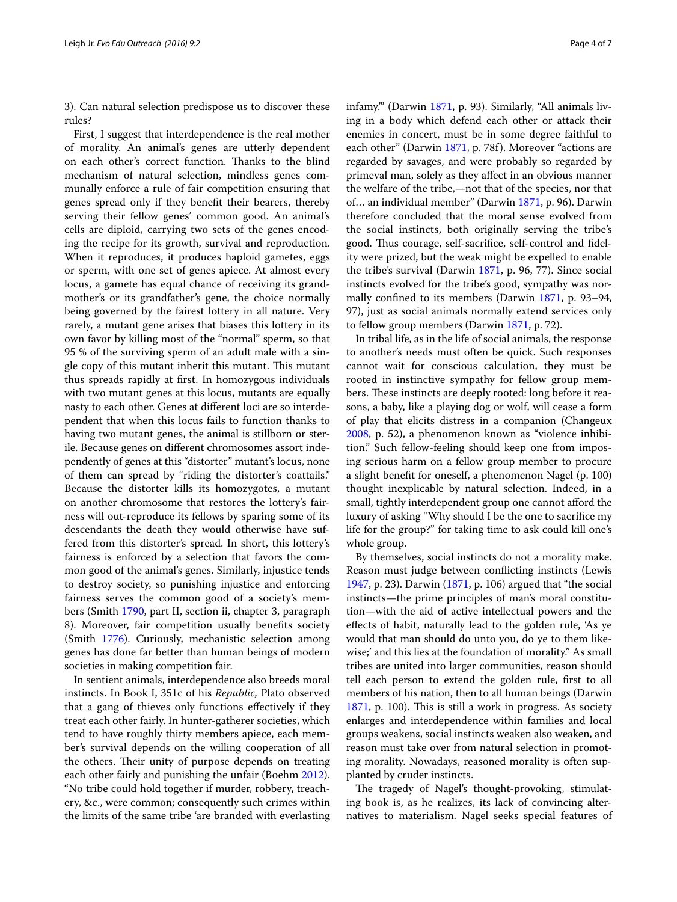3). Can natural selection predispose us to discover these rules?

First, I suggest that interdependence is the real mother of morality. An animal's genes are utterly dependent on each other's correct function. Thanks to the blind mechanism of natural selection, mindless genes communally enforce a rule of fair competition ensuring that genes spread only if they benefit their bearers, thereby serving their fellow genes' common good. An animal's cells are diploid, carrying two sets of the genes encoding the recipe for its growth, survival and reproduction. When it reproduces, it produces haploid gametes, eggs or sperm, with one set of genes apiece. At almost every locus, a gamete has equal chance of receiving its grandmother's or its grandfather's gene, the choice normally being governed by the fairest lottery in all nature. Very rarely, a mutant gene arises that biases this lottery in its own favor by killing most of the "normal" sperm, so that 95 % of the surviving sperm of an adult male with a single copy of this mutant inherit this mutant. This mutant thus spreads rapidly at first. In homozygous individuals with two mutant genes at this locus, mutants are equally nasty to each other. Genes at different loci are so interdependent that when this locus fails to function thanks to having two mutant genes, the animal is stillborn or sterile. Because genes on different chromosomes assort independently of genes at this "distorter" mutant's locus, none of them can spread by "riding the distorter's coattails." Because the distorter kills its homozygotes, a mutant on another chromosome that restores the lottery's fairness will out-reproduce its fellows by sparing some of its descendants the death they would otherwise have suffered from this distorter's spread. In short, this lottery's fairness is enforced by a selection that favors the common good of the animal's genes. Similarly, injustice tends to destroy society, so punishing injustice and enforcing fairness serves the common good of a society's members (Smith [1790,](#page-6-14) part II, section ii, chapter 3, paragraph 8). Moreover, fair competition usually benefits society (Smith [1776](#page-6-15)). Curiously, mechanistic selection among genes has done far better than human beings of modern societies in making competition fair.

In sentient animals, interdependence also breeds moral instincts. In Book I, 351c of his *Republic,* Plato observed that a gang of thieves only functions effectively if they treat each other fairly. In hunter-gatherer societies, which tend to have roughly thirty members apiece, each member's survival depends on the willing cooperation of all the others. Their unity of purpose depends on treating each other fairly and punishing the unfair (Boehm [2012](#page-5-5)). "No tribe could hold together if murder, robbery, treachery, &c., were common; consequently such crimes within the limits of the same tribe 'are branded with everlasting infamy.'" (Darwin [1871](#page-5-4), p. 93). Similarly, "All animals living in a body which defend each other or attack their enemies in concert, must be in some degree faithful to each other" (Darwin [1871,](#page-5-4) p. 78f). Moreover "actions are regarded by savages, and were probably so regarded by primeval man, solely as they affect in an obvious manner the welfare of the tribe,—not that of the species, nor that of… an individual member" (Darwin [1871,](#page-5-4) p. 96). Darwin therefore concluded that the moral sense evolved from the social instincts, both originally serving the tribe's good. Thus courage, self-sacrifice, self-control and fidelity were prized, but the weak might be expelled to enable the tribe's survival (Darwin [1871,](#page-5-4) p. 96, 77). Since social instincts evolved for the tribe's good, sympathy was normally confined to its members (Darwin [1871,](#page-5-4) p. 93–94, 97), just as social animals normally extend services only to fellow group members (Darwin [1871](#page-5-4), p. 72).

In tribal life, as in the life of social animals, the response to another's needs must often be quick. Such responses cannot wait for conscious calculation, they must be rooted in instinctive sympathy for fellow group members. These instincts are deeply rooted: long before it reasons, a baby, like a playing dog or wolf, will cease a form of play that elicits distress in a companion (Changeux [2008](#page-5-1), p. 52), a phenomenon known as "violence inhibition." Such fellow-feeling should keep one from imposing serious harm on a fellow group member to procure a slight benefit for oneself, a phenomenon Nagel (p. 100) thought inexplicable by natural selection. Indeed, in a small, tightly interdependent group one cannot afford the luxury of asking "Why should I be the one to sacrifice my life for the group?" for taking time to ask could kill one's whole group.

By themselves, social instincts do not a morality make. Reason must judge between conflicting instincts (Lewis [1947](#page-6-11), p. 23). Darwin ([1871,](#page-5-4) p. 106) argued that "the social instincts—the prime principles of man's moral constitution—with the aid of active intellectual powers and the effects of habit, naturally lead to the golden rule, 'As ye would that man should do unto you, do ye to them likewise;' and this lies at the foundation of morality." As small tribes are united into larger communities, reason should tell each person to extend the golden rule, first to all members of his nation, then to all human beings (Darwin [1871](#page-5-4), p. 100). This is still a work in progress. As society enlarges and interdependence within families and local groups weakens, social instincts weaken also weaken, and reason must take over from natural selection in promoting morality. Nowadays, reasoned morality is often supplanted by cruder instincts.

The tragedy of Nagel's thought-provoking, stimulating book is, as he realizes, its lack of convincing alternatives to materialism. Nagel seeks special features of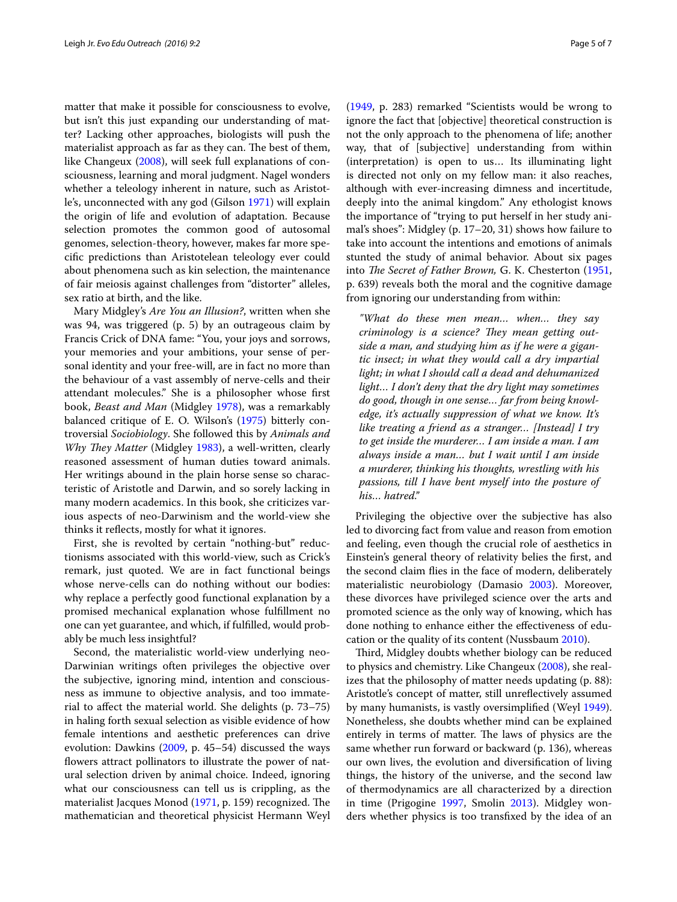matter that make it possible for consciousness to evolve, but isn't this just expanding our understanding of matter? Lacking other approaches, biologists will push the materialist approach as far as they can. The best of them, like Changeux [\(2008\)](#page-5-1), will seek full explanations of consciousness, learning and moral judgment. Nagel wonders whether a teleology inherent in nature, such as Aristotle's, unconnected with any god (Gilson [1971\)](#page-6-16) will explain the origin of life and evolution of adaptation. Because selection promotes the common good of autosomal genomes, selection-theory, however, makes far more specific predictions than Aristotelean teleology ever could about phenomena such as kin selection, the maintenance of fair meiosis against challenges from "distorter" alleles, sex ratio at birth, and the like.

Mary Midgley's *Are You an Illusion?*, written when she was 94, was triggered (p. 5) by an outrageous claim by Francis Crick of DNA fame: "You, your joys and sorrows, your memories and your ambitions, your sense of personal identity and your free-will, are in fact no more than the behaviour of a vast assembly of nerve-cells and their attendant molecules." She is a philosopher whose first book, *Beast and Man* (Midgley [1978\)](#page-6-17), was a remarkably balanced critique of E. O. Wilson's ([1975](#page-6-18)) bitterly controversial *Sociobiology*. She followed this by *Animals and Why They Matter* (Midgley [1983](#page-6-19)), a well-written, clearly reasoned assessment of human duties toward animals. Her writings abound in the plain horse sense so characteristic of Aristotle and Darwin, and so sorely lacking in many modern academics. In this book, she criticizes various aspects of neo-Darwinism and the world-view she thinks it reflects, mostly for what it ignores.

First, she is revolted by certain "nothing-but" reductionisms associated with this world-view, such as Crick's remark, just quoted. We are in fact functional beings whose nerve-cells can do nothing without our bodies: why replace a perfectly good functional explanation by a promised mechanical explanation whose fulfillment no one can yet guarantee, and which, if fulfilled, would probably be much less insightful?

Second, the materialistic world-view underlying neo-Darwinian writings often privileges the objective over the subjective, ignoring mind, intention and consciousness as immune to objective analysis, and too immaterial to affect the material world. She delights (p. 73–75) in haling forth sexual selection as visible evidence of how female intentions and aesthetic preferences can drive evolution: Dawkins [\(2009,](#page-6-20) p. 45–54) discussed the ways flowers attract pollinators to illustrate the power of natural selection driven by animal choice. Indeed, ignoring what our consciousness can tell us is crippling, as the materialist Jacques Monod [\(1971,](#page-6-5) p. 159) recognized. The mathematician and theoretical physicist Hermann Weyl

([1949,](#page-6-9) p. 283) remarked "Scientists would be wrong to ignore the fact that [objective] theoretical construction is not the only approach to the phenomena of life; another way, that of [subjective] understanding from within (interpretation) is open to us… Its illuminating light is directed not only on my fellow man: it also reaches, although with ever-increasing dimness and incertitude, deeply into the animal kingdom." Any ethologist knows the importance of "trying to put herself in her study animal's shoes": Midgley (p. 17–20, 31) shows how failure to take into account the intentions and emotions of animals stunted the study of animal behavior. About six pages into *The Secret of Father Brown,* G. K. Chesterton ([1951](#page-5-6), p. 639) reveals both the moral and the cognitive damage from ignoring our understanding from within:

*"What do these men mean… when… they say criminology is a science? They mean getting outside a man, and studying him as if he were a gigantic insect; in what they would call a dry impartial light; in what I should call a dead and dehumanized light… I don't deny that the dry light may sometimes do good, though in one sense… far from being knowledge, it's actually suppression of what we know. It's like treating a friend as a stranger… [Instead] I try to get inside the murderer… I am inside a man. I am always inside a man… but I wait until I am inside a murderer, thinking his thoughts, wrestling with his passions, till I have bent myself into the posture of his… hatred."*

Privileging the objective over the subjective has also led to divorcing fact from value and reason from emotion and feeling, even though the crucial role of aesthetics in Einstein's general theory of relativity belies the first, and the second claim flies in the face of modern, deliberately materialistic neurobiology (Damasio [2003\)](#page-5-7). Moreover, these divorces have privileged science over the arts and promoted science as the only way of knowing, which has done nothing to enhance either the effectiveness of education or the quality of its content (Nussbaum [2010\)](#page-6-21).

Third, Midgley doubts whether biology can be reduced to physics and chemistry. Like Changeux [\(2008](#page-5-1)), she realizes that the philosophy of matter needs updating (p. 88): Aristotle's concept of matter, still unreflectively assumed by many humanists, is vastly oversimplified (Weyl [1949](#page-6-9)). Nonetheless, she doubts whether mind can be explained entirely in terms of matter. The laws of physics are the same whether run forward or backward (p. 136), whereas our own lives, the evolution and diversification of living things, the history of the universe, and the second law of thermodynamics are all characterized by a direction in time (Prigogine [1997](#page-6-22), Smolin [2013\)](#page-6-23). Midgley wonders whether physics is too transfixed by the idea of an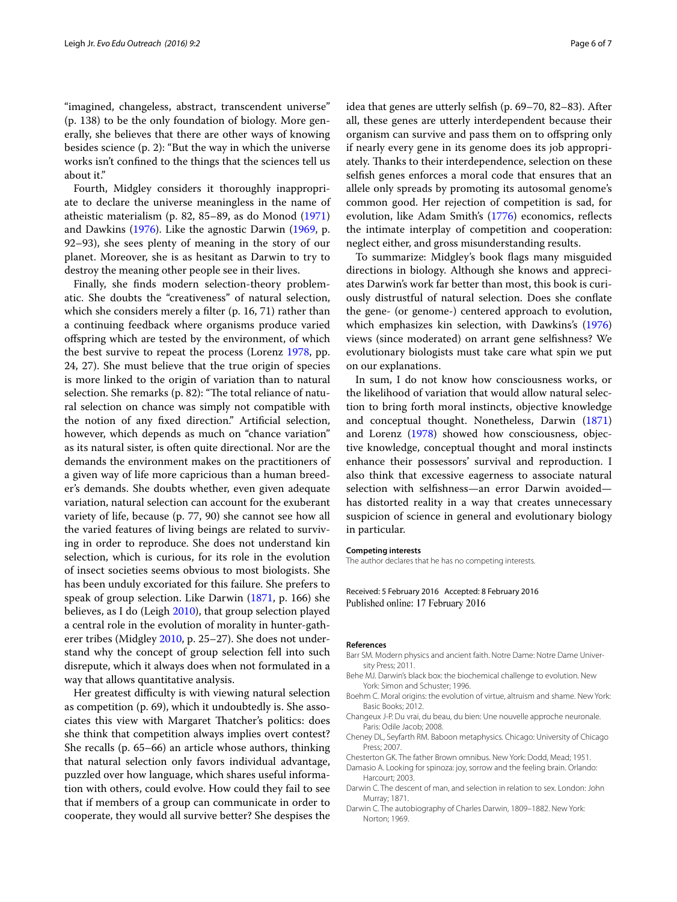"imagined, changeless, abstract, transcendent universe" (p. 138) to be the only foundation of biology. More generally, she believes that there are other ways of knowing besides science (p. 2): "But the way in which the universe works isn't confined to the things that the sciences tell us about it."

Fourth, Midgley considers it thoroughly inappropriate to declare the universe meaningless in the name of atheistic materialism (p. 82, 85–89, as do Monod ([1971](#page-6-5)) and Dawkins [\(1976\)](#page-6-24). Like the agnostic Darwin ([1969](#page-5-8), p. 92–93), she sees plenty of meaning in the story of our planet. Moreover, she is as hesitant as Darwin to try to destroy the meaning other people see in their lives.

Finally, she finds modern selection-theory problematic. She doubts the "creativeness" of natural selection, which she considers merely a filter (p. 16, 71) rather than a continuing feedback where organisms produce varied offspring which are tested by the environment, of which the best survive to repeat the process (Lorenz [1978](#page-6-4), pp. 24, 27). She must believe that the true origin of species is more linked to the origin of variation than to natural selection. She remarks (p. 82): "The total reliance of natural selection on chance was simply not compatible with the notion of any fixed direction." Artificial selection, however, which depends as much on "chance variation" as its natural sister, is often quite directional. Nor are the demands the environment makes on the practitioners of a given way of life more capricious than a human breeder's demands. She doubts whether, even given adequate variation, natural selection can account for the exuberant variety of life, because (p. 77, 90) she cannot see how all the varied features of living beings are related to surviving in order to reproduce. She does not understand kin selection, which is curious, for its role in the evolution of insect societies seems obvious to most biologists. She has been unduly excoriated for this failure. She prefers to speak of group selection. Like Darwin [\(1871](#page-5-4), p. 166) she believes, as I do (Leigh [2010\)](#page-6-25), that group selection played a central role in the evolution of morality in hunter-gatherer tribes (Midgley [2010](#page-6-26), p. 25–27). She does not understand why the concept of group selection fell into such disrepute, which it always does when not formulated in a way that allows quantitative analysis.

Her greatest difficulty is with viewing natural selection as competition (p. 69), which it undoubtedly is. She associates this view with Margaret Thatcher's politics: does she think that competition always implies overt contest? She recalls (p. 65–66) an article whose authors, thinking that natural selection only favors individual advantage, puzzled over how language, which shares useful information with others, could evolve. How could they fail to see that if members of a group can communicate in order to cooperate, they would all survive better? She despises the idea that genes are utterly selfish (p. 69–70, 82–83). After all, these genes are utterly interdependent because their organism can survive and pass them on to offspring only if nearly every gene in its genome does its job appropriately. Thanks to their interdependence, selection on these selfish genes enforces a moral code that ensures that an allele only spreads by promoting its autosomal genome's common good. Her rejection of competition is sad, for evolution, like Adam Smith's [\(1776\)](#page-6-15) economics, reflects the intimate interplay of competition and cooperation: neglect either, and gross misunderstanding results.

To summarize: Midgley's book flags many misguided directions in biology. Although she knows and appreciates Darwin's work far better than most, this book is curiously distrustful of natural selection. Does she conflate the gene- (or genome-) centered approach to evolution, which emphasizes kin selection, with Dawkins's ([1976](#page-6-24)) views (since moderated) on arrant gene selfishness? We evolutionary biologists must take care what spin we put on our explanations.

In sum, I do not know how consciousness works, or the likelihood of variation that would allow natural selection to bring forth moral instincts, objective knowledge and conceptual thought. Nonetheless, Darwin ([1871](#page-5-4)) and Lorenz ([1978](#page-6-4)) showed how consciousness, objective knowledge, conceptual thought and moral instincts enhance their possessors' survival and reproduction. I also think that excessive eagerness to associate natural selection with selfishness—an error Darwin avoided has distorted reality in a way that creates unnecessary suspicion of science in general and evolutionary biology in particular.

#### **Competing interests**

The author declares that he has no competing interests.

Received: 5 February 2016 Accepted: 8 February 2016 Published online: 17 February 2016

#### **References**

- <span id="page-5-2"></span>Barr SM. Modern physics and ancient faith. Notre Dame: Notre Dame University Press; 2011.
- <span id="page-5-0"></span>Behe MJ. Darwin's black box: the biochemical challenge to evolution. New York: Simon and Schuster; 1996.
- <span id="page-5-5"></span>Boehm C. Moral origins: the evolution of virtue, altruism and shame. New York: Basic Books; 2012.
- <span id="page-5-1"></span>Changeux J-P. Du vrai, du beau, du bien: Une nouvelle approche neuronale. Paris: Odile Jacob; 2008.
- <span id="page-5-3"></span>Cheney DL, Seyfarth RM. Baboon metaphysics. Chicago: University of Chicago Press; 2007.
- <span id="page-5-6"></span>Chesterton GK. The father Brown omnibus. New York: Dodd, Mead; 1951.
- <span id="page-5-7"></span>Damasio A. Looking for spinoza: joy, sorrow and the feeling brain. Orlando: Harcourt; 2003.
- <span id="page-5-4"></span>Darwin C. The descent of man, and selection in relation to sex. London: John Murray; 1871.
- <span id="page-5-8"></span>Darwin C. The autobiography of Charles Darwin, 1809–1882. New York: Norton; 1969.